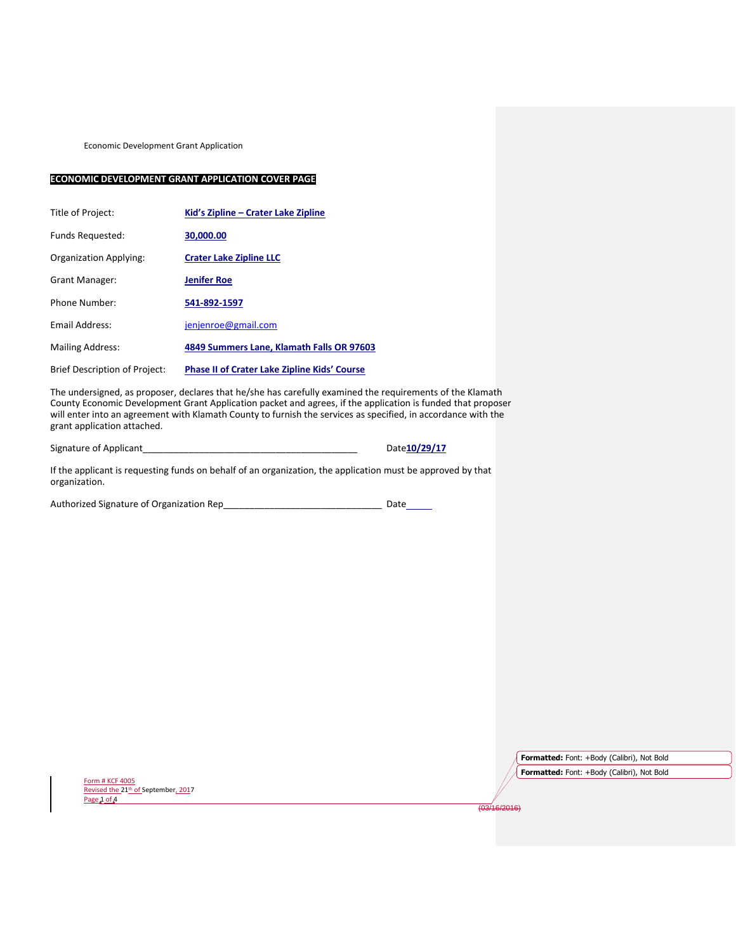Economic Development Grant Application

## **ECONOMIC DEVELOPMENT GRANT APPLICATION COVER PAGE**

| Title of Project:                    | Kid's Zipline – Crater Lake Zipline                 |
|--------------------------------------|-----------------------------------------------------|
| <b>Funds Requested:</b>              | 30,000.00                                           |
| Organization Applying:               | <b>Crater Lake Zipline LLC</b>                      |
| <b>Grant Manager:</b>                | <b>Jenifer Roe</b>                                  |
| Phone Number:                        | 541-892-1597                                        |
| <b>Fmail Address:</b>                | jenjenroe@gmail.com                                 |
| <b>Mailing Address:</b>              | 4849 Summers Lane, Klamath Falls OR 97603           |
| <b>Brief Description of Project:</b> | <b>Phase II of Crater Lake Zipline Kids' Course</b> |

The undersigned, as proposer, declares that he/she has carefully examined the requirements of the Klamath County Economic Development Grant Application packet and agrees, if the application is funded that proposer will enter into an agreement with Klamath County to furnish the services as specified, in accordance with the grant application attached.

Signature of Applicant\_\_\_\_\_\_\_\_\_\_\_\_\_\_\_\_\_\_\_\_\_\_\_\_\_\_\_\_\_\_\_\_\_\_\_\_\_\_\_\_\_\_ Date**10/29/17**

If the applicant is requesting funds on behalf of an organization, the application must be approved by that organization.

Authorized Signature of Organization Rep\_\_\_\_\_\_\_\_\_\_\_\_\_\_\_\_\_\_\_\_\_\_\_\_\_\_\_\_\_\_\_ Date

Form # KCF 4005 Revised the 21<sup>th</sup> of September, 2017 Page 1 of A

**Formatted:** Font: +Body (Calibri), Not Bold **Formatted:** Font: +Body (Calibri), Not Bold

 $\frac{1}{(03/16/2016)}$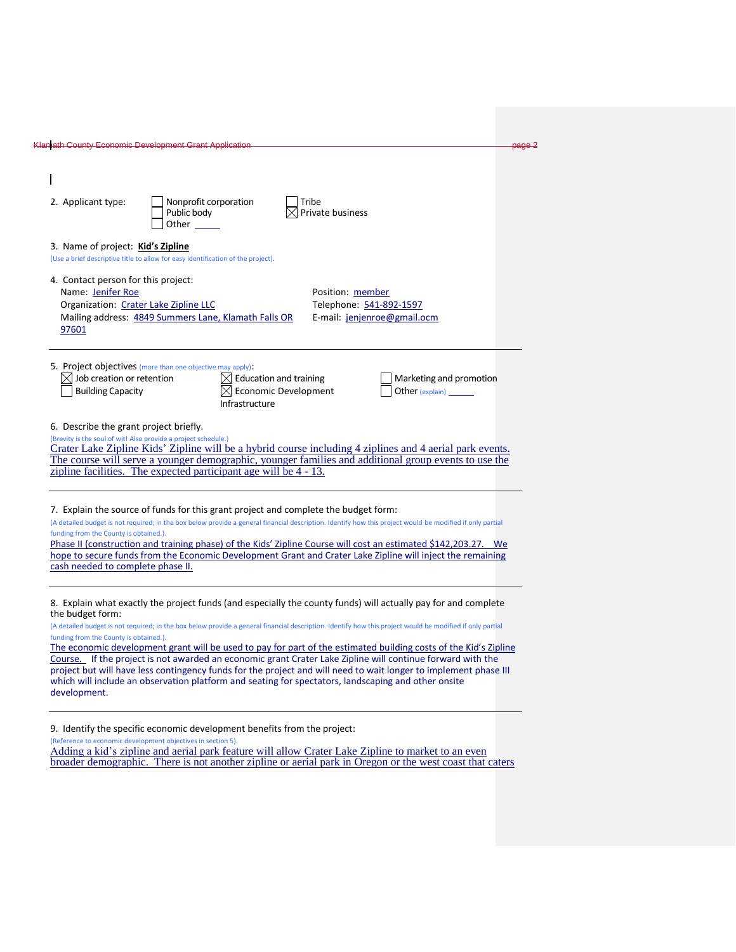| 2. Applicant type:               |                                        | Public body                                                                                              | Nonprofit corporation                                                               |                                                                        |                           |                                                                                                                                                                                                                                                                                                                                                                                                                                                                                                                                                                                                                                                                                                                                          |
|----------------------------------|----------------------------------------|----------------------------------------------------------------------------------------------------------|-------------------------------------------------------------------------------------|------------------------------------------------------------------------|---------------------------|------------------------------------------------------------------------------------------------------------------------------------------------------------------------------------------------------------------------------------------------------------------------------------------------------------------------------------------------------------------------------------------------------------------------------------------------------------------------------------------------------------------------------------------------------------------------------------------------------------------------------------------------------------------------------------------------------------------------------------------|
|                                  |                                        |                                                                                                          |                                                                                     |                                                                        |                           |                                                                                                                                                                                                                                                                                                                                                                                                                                                                                                                                                                                                                                                                                                                                          |
|                                  |                                        |                                                                                                          | Other                                                                               |                                                                        | Tribe<br>Private business |                                                                                                                                                                                                                                                                                                                                                                                                                                                                                                                                                                                                                                                                                                                                          |
|                                  |                                        | 3. Name of project: Kid's Zipline                                                                        | (Use a brief descriptive title to allow for easy identification of the project).    |                                                                        |                           |                                                                                                                                                                                                                                                                                                                                                                                                                                                                                                                                                                                                                                                                                                                                          |
| 97601                            | Name: Jenifer Roe                      | 4. Contact person for this project:<br>Organization: Crater Lake Zipline LLC                             | Mailing address: 4849 Summers Lane, Klamath Falls OR                                |                                                                        | Position: member          | Telephone: 541-892-1597<br>E-mail: jenjenroe@gmail.ocm                                                                                                                                                                                                                                                                                                                                                                                                                                                                                                                                                                                                                                                                                   |
|                                  | <b>Building Capacity</b>               | $\boxtimes$ Job creation or retention                                                                    | 5. Project objectives (more than one objective may apply):<br>Infrastructure        | $\boxtimes$ Education and training<br>$\boxtimes$ Economic Development |                           | Marketing and promotion<br>Other (explain) _______                                                                                                                                                                                                                                                                                                                                                                                                                                                                                                                                                                                                                                                                                       |
|                                  |                                        | 6. Describe the grant project briefly.<br>(Brevity is the soul of wit! Also provide a project schedule.) | zipline facilities. The expected participant age will be 4 - 13.                    |                                                                        |                           | Crater Lake Zipline Kids' Zipline will be a hybrid course including 4 ziplines and 4 aerial park events.<br>The course will serve a younger demographic, younger families and additional group events to use the                                                                                                                                                                                                                                                                                                                                                                                                                                                                                                                         |
|                                  | funding from the County is obtained.). | cash needed to complete phase II.                                                                        | 7. Explain the source of funds for this grant project and complete the budget form: |                                                                        |                           | (A detailed budget is not required; in the box below provide a general financial description. Identify how this project would be modified if only partial<br>Phase II (construction and training phase) of the Kids' Zipline Course will cost an estimated \$142,203.27. We<br>hope to secure funds from the Economic Development Grant and Crater Lake Zipline will inject the remaining                                                                                                                                                                                                                                                                                                                                                |
| the budget form:<br>development. | funding from the County is obtained.). |                                                                                                          |                                                                                     |                                                                        |                           | 8. Explain what exactly the project funds (and especially the county funds) will actually pay for and complete<br>(A detailed budget is not required; in the box below provide a general financial description. Identify how this project would be modified if only partial<br>The economic development grant will be used to pay for part of the estimated building costs of the Kid's Zipline<br>Course. If the project is not awarded an economic grant Crater Lake Zipline will continue forward with the<br>project but will have less contingency funds for the project and will need to wait longer to implement phase III<br>which will include an observation platform and seating for spectators, landscaping and other onsite |

broader demographic. There is not another zipline or aerial park in Oregon or the west coast that caters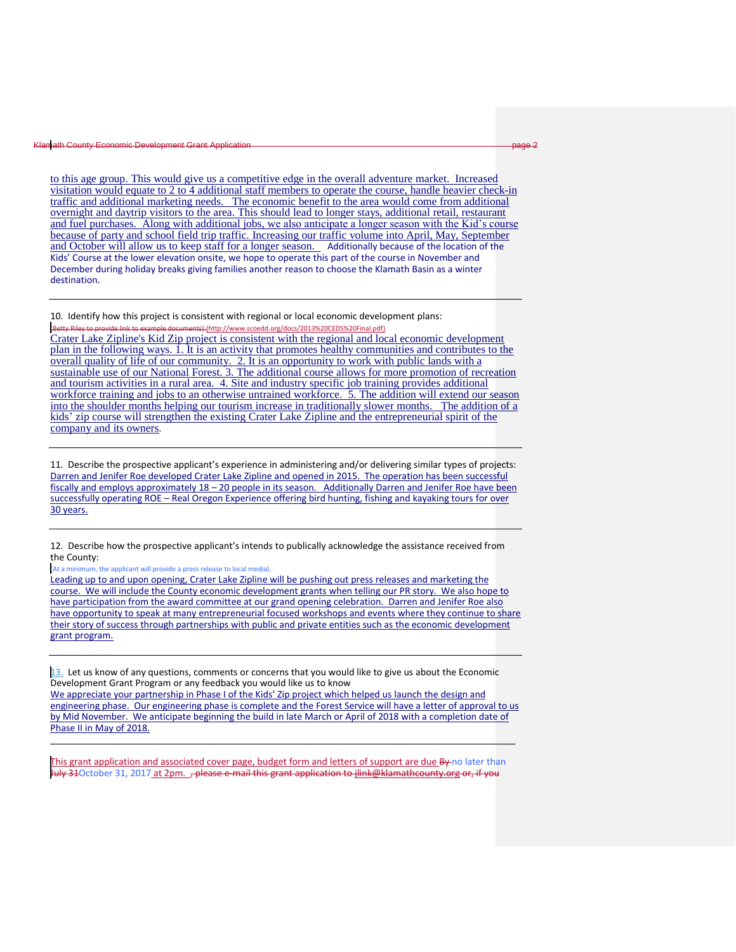## Klamath County Economic De

to this age group. This would give us a competitive edge in the overall adventure market. Increased visitation would equate to 2 to 4 additional staff members to operate the course, handle heavier check-in traffic and additional marketing needs. The economic benefit to the area would come from additional overnight and daytrip visitors to the area. This should lead to longer stays, additional retail, restaurant and fuel purchases. Along with additional jobs, we also anticipate a longer season with the Kid's course because of party and school field trip traffic. Increasing our traffic volume into April, May, September and October will allow us to keep staff for a longer season. Additionally because of the location of the Kids' Course at the lower elevation onsite, we hope to operate this part of the course in November and December during holiday breaks giving families another reason to choose the Klamath Basin as a winter destination.

10. Identify how this project is consistent with regional or local economic development plans: (http://www.scoedd.org/docs/2013%20CEDS%20Final.pdf)

Crater Lake Zipline's Kid Zip project is consistent with the regional and local economic development plan in the following ways. 1. It is an activity that promotes healthy communities and contributes to the overall quality of life of our community. 2. It is an opportunity to work with public lands with a sustainable use of our National Forest. 3. The additional course allows for more promotion of recreation and tourism activities in a rural area. 4. Site and industry specific job training provides additional workforce training and jobs to an otherwise untrained workforce. 5. The addition will extend our season into the shoulder months helping our tourism increase in traditionally slower months. The addition of a kids' zip course will strengthen the existing Crater Lake Zipline and the entrepreneurial spirit of the company and its owners.

11. Describe the prospective applicant's experience in administering and/or delivering similar types of projects: Darren and Jenifer Roe developed Crater Lake Zipline and opened in 2015. The operation has been successful fiscally and employs approximately 18 – 20 people in its season. Additionally Darren and Jenifer Roe have been successfully operating ROE – Real Oregon Experience offering bird hunting, fishing and kayaking tours for over 30 years.

12. Describe how the prospective applicant's intends to publically acknowledge the assistance received from the County:

(At a minimum, the applicant will provide a press release to local media).

Leading up to and upon opening, Crater Lake Zipline will be pushing out press releases and marketing the course. We will include the County economic development grants when telling our PR story. We also hope to have participation from the award committee at our grand opening celebration. Darren and Jenifer Roe also have opportunity to speak at many entrepreneurial focused workshops and events where they continue to share their story of success through partnerships with public and private entities such as the economic development grant program.

13. Let us know of any questions, comments or concerns that you would like to give us about the Economic Development Grant Program or any feedback you would like us to know We appreciate your partnership in Phase I of the Kids' Zip project which helped us launch the design and engineering phase. Our engineering phase is complete and the Forest Service will have a letter of approval to us by Mid November. We anticipate beginning the build in late March or April of 2018 with a completion date of Phase II in May of 2018.

\_\_\_\_\_\_\_\_\_\_\_\_\_\_\_\_\_\_\_\_\_\_\_\_\_\_\_\_\_\_\_\_\_\_\_\_\_\_\_\_\_\_\_\_\_\_\_\_\_\_\_\_\_\_\_\_\_\_\_\_\_\_\_\_\_\_\_\_\_\_\_\_\_\_\_\_\_\_\_\_\_\_\_\_\_\_\_\_\_\_\_

This grant application and associated cover page, budget form and letters of support are due By no later than July 31October 31, 2017 at 2pm. , please e-mail this grant application to jlink@klamathcounty.org or, if you